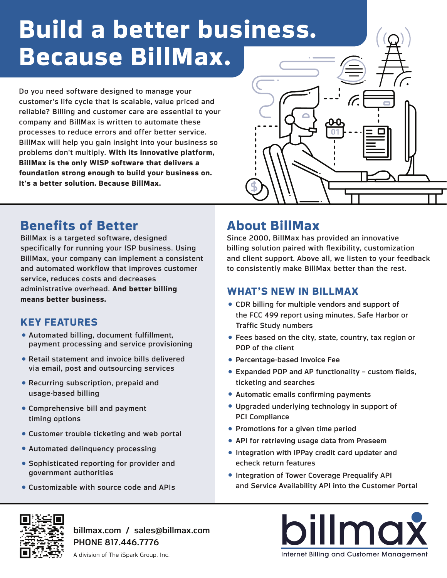# **Build a better business. Because BillMax.**

Do you need software designed to manage your customer's life cycle that is scalable, value priced and reliable? Billing and customer care are essential to your company and BillMax is written to automate these processes to reduce errors and offer better service. BillMax will help you gain insight into your business so problems don't multiply. **With its innovative platform, BillMax is the only WISP software that delivers a foundation strong enough to build your business on. It's a better solution. Because BillMax.**



# **Benefits of Better**

BillMax is a targeted software, designed specifically for running your ISP business. Using BillMax, your company can implement a consistent and automated workflow that improves customer service, reduces costs and decreases administrative overhead. **And better billing means better business.**

# **KEY FEATURES**

- Automated billing, document fulfillment, payment processing and service provisioning
- Retail statement and invoice bills delivered via email, post and outsourcing services
- Recurring subscription, prepaid and usage-based billing
- Comprehensive bill and payment timing options
- Customer trouble ticketing and web portal
- Automated delinquency processing
- Sophisticated reporting for provider and government authorities
- Customizable with source code and APIs

# **About BillMax**

Since 2000, BillMax has provided an innovative billing solution paired with flexibility, customization and client support. Above all, we listen to your feedback to consistently make BillMax better than the rest.

## **WHAT'S NEW IN BILLMAX**

- CDR billing for multiple vendors and support of the FCC 499 report using minutes, Safe Harbor or Traffic Study numbers
- Fees based on the city, state, country, tax region or POP of the client
- Percentage-based Invoice Fee
- Expanded POP and AP functionality custom fields, ticketing and searches
- Automatic emails confirming payments
- Upgraded underlying technology in support of PCI Compliance
- Promotions for a given time period
- API for retrieving usage data from Preseem
- Integration with IPPay credit card updater and echeck return features
- Integration of Tower Coverage Prequalify API and Service Availability API into the Customer Portal



billmax.com / sales@billmax.com PHONE 817.446.7776

billmax Internet Billing and Customer Management

A division of The iSpark Group, Inc.